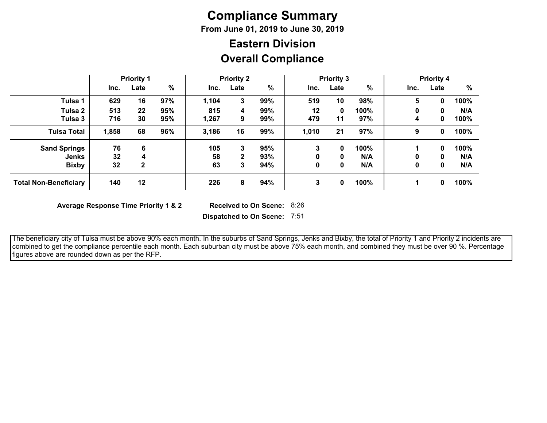# **Compliance Summary**

**From June 01, 2019 to June 30, 2019**

# **Overall Compliance Eastern Division**

|                              | <b>Priority 1</b> |              | <b>Priority 2</b> |       | <b>Priority 3</b> |     |         | <b>Priority 4</b> |      |      |      |      |
|------------------------------|-------------------|--------------|-------------------|-------|-------------------|-----|---------|-------------------|------|------|------|------|
|                              | Inc.              | Late         | $\frac{0}{0}$     | Inc.  | Late              | %   | Inc.    | Late              | %    | Inc. | Late | $\%$ |
| Tulsa 1                      | 629               | 16           | 97%               | 1,104 | 3                 | 99% | 519     | 10                | 98%  | 5    | 0    | 100% |
| Tulsa 2                      | 513               | 22           | 95%               | 815   | 4                 | 99% | $12 \,$ | 0                 | 100% | 0    | 0    | N/A  |
| Tulsa 3                      | 716               | 30           | 95%               | 1,267 | 9                 | 99% | 479     | 11                | 97%  | 4    | 0    | 100% |
| <b>Tulsa Total</b>           | 1,858             | 68           | 96%               | 3,186 | 16                | 99% | 1,010   | 21                | 97%  | 9    | 0    | 100% |
| <b>Sand Springs</b>          | 76                | 6            |                   | 105   | 3                 | 95% | 3       | 0                 | 100% |      | 0    | 100% |
| <b>Jenks</b>                 | 32                | 4            |                   | 58    | 2                 | 93% | 0       | 0                 | N/A  | 0    | 0    | N/A  |
| <b>Bixby</b>                 | 32                | $\mathbf{2}$ |                   | 63    | 3                 | 94% | 0       | 0                 | N/A  | 0    | 0    | N/A  |
| <b>Total Non-Beneficiary</b> | 140               | 12           |                   | 226   | 8                 | 94% | 3       | 0                 | 100% |      | 0    | 100% |

**Average Response Time Priority 1 & 2** 

Received to On Scene: 8:26

**Dispatched to On Scene:** 7:51

 The beneficiary city of Tulsa must be above 90% each month. In the suburbs of Sand Springs, Jenks and Bixby, the total of Priority 1 and Priority 2 incidents are combined to get the compliance percentile each month. Each suburban city must be above 75% each month, and combined they must be over 90 %. Percentage figures above are rounded down as per the RFP.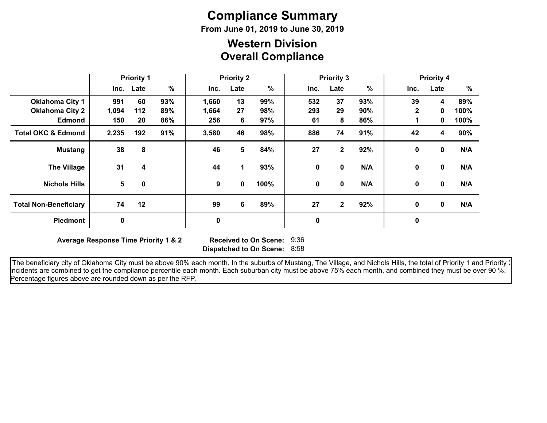# **Compliance Summary**

**From June 01, 2019 to June 30, 2019**

### **Overall Compliance Western Division**

|                               | <b>Priority 1</b> |           | <b>Priority 2</b> |           |      | <b>Priority 3</b> |      |              |     | <b>Priority 4</b> |             |      |
|-------------------------------|-------------------|-----------|-------------------|-----------|------|-------------------|------|--------------|-----|-------------------|-------------|------|
|                               |                   | Inc. Late | $\%$              | Inc.      | Late | $\%$              | Inc. | Late         | %   | Inc.              | Late        | %    |
| <b>Oklahoma City 1</b>        | 991               | 60        | 93%               | 1,660     | 13   | 99%               | 532  | 37           | 93% | 39                | 4           | 89%  |
| <b>Oklahoma City 2</b>        | 1,094             | 112       | 89%               | 1,664     | 27   | 98%               | 293  | 29           | 90% | $\mathbf{2}$      | 0           | 100% |
| <b>Edmond</b>                 | 150               | 20        | 86%               | 256       | 6    | 97%               | 61   | 8            | 86% |                   | 0           | 100% |
| <b>Total OKC &amp; Edmond</b> | 2,235             | 192       | 91%               | 3,580     | 46   | 98%               | 886  | 74           | 91% | 42                | 4           | 90%  |
| <b>Mustang</b>                | 38                | 8         |                   | 46        | 5    | 84%               | 27   | $\mathbf{2}$ | 92% | 0                 | $\mathbf 0$ | N/A  |
| <b>The Village</b>            | 31                | 4         |                   | 44        | 1    | 93%               | 0    | 0            | N/A | 0                 | $\mathbf 0$ | N/A  |
| <b>Nichols Hills</b>          | 5                 | 0         |                   | 9         | 0    | 100%              | 0    | 0            | N/A | 0                 | $\mathbf 0$ | N/A  |
| <b>Total Non-Beneficiary</b>  | 74                | 12        |                   | 99        | 6    | 89%               | 27   | $\mathbf{2}$ | 92% | 0                 | $\mathbf 0$ | N/A  |
| <b>Piedmont</b>               | $\mathbf 0$       |           |                   | $\pmb{0}$ |      |                   | 0    |              |     | $\mathbf 0$       |             |      |

**Average Response Time Priority 1 & 2** 

**Dispatched to On Scene:** 8:58 Received to On Scene: 9:36

The beneficiary city of Oklahoma City must be above 90% each month. In the suburbs of Mustang, The Village, and Nichols Hills, the total of Priority 1 and Priority : incidents are combined to get the compliance percentile each month. Each suburban city must be above 75% each month, and combined they must be over 90 %. Percentage figures above are rounded down as per the RFP.